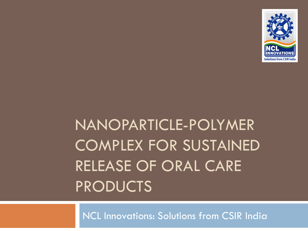

# NANOPARTICLE-POLYMER COMPLEX FOR SUSTAINED RELEASE OF ORAL CARE PRODUCTS

NCL Innovations: Solutions from CSIR India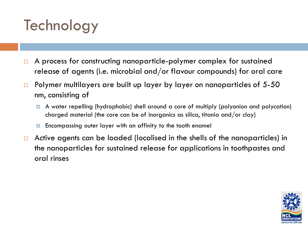## Technology

- □ A process for constructing nanoparticle-polymer complex for sustained release of agents (i.e. microbial and/or flavour compounds) for oral care
- $\Box$  Polymer multilayers are built up layer by layer on nanoparticles of 5-50 nm, consisting of
	- A water repelling (hydrophobic) shell around a core of multiply (polyanion and polycation) charged material (the core can be of inorganics as silica, titania and/or clay)
	- Encompassing outer layer with an affinity to the tooth enamel
- $\Box$  Active agents can be loaded (localised in the shells of the nanoparticles) in the nanoparticles for sustained release for applications in toothpastes and oral rinses

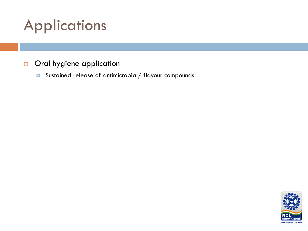## Applications

#### Oral hygiene application

**D** Sustained release of antimicrobial/ flavour compounds

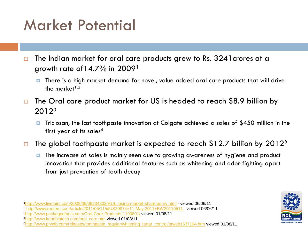### Market Potential

 $\Box$  The Indian market for oral care products grew to Rs. 3241 crores at a growth rate of  $14.7\%$  in 2009<sup>1</sup>

- There is a high market demand for novel, value added oral care products that will drive the market $1,2$
- $\Box$  The Oral care product market for US is headed to reach \$8.9 billion by 20123
	- Triclosan, the last toothpaste innovation at Colgate achieved a sales of \$450 million in the first year of its sales<sup>4</sup>
- $\Box$  The global toothpaste market is expected to reach \$12.7 billion by 2012<sup>5</sup>
	- **T** The increase of sales is mainly seen due to growing awareness of hygiene and product innovation that provides additional features such as whitening and odor-fighting apart from just prevention of tooth decay

1<http://www.livemint.com/2009/05/06234303/HUL-losing-market-share-as-riv.html> - viewed 06/06/11 <sup>2</sup> <http://www.reuters.com/article/2011/05/11/idUS29974+11-May-2011+BW20110511>- viewed 06/06/11

3<http://www.packagedfacts.com/Oral-Care-Products-1190801/> viewed 01/08/11

4[http://www.kanebiotech.com/oral\\_care.htm](http://www.kanebiotech.com/oral_care.htm) viewed 01/08/11

<sup>5</sup>[http://www.prweb.com/releases/toothpaste\\_regular/whitening\\_tartar\\_control/prweb1537104.htm](http://www.prweb.com/releases/toothpaste_regular/whitening_tartar_control/prweb1537104.htm) viewed 01/08/11

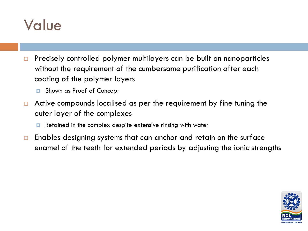#### Value

- $\Box$  Precisely controlled polymer multilayers can be built on nanoparticles without the requirement of the cumbersome purification after each coating of the polymer layers
	- **D** Shown as Proof of Concept
- $\Box$  Active compounds localised as per the requirement by fine tuning the outer layer of the complexes
	- Retained in the complex despite extensive rinsing with water
- $\Box$  Enables designing systems that can anchor and retain on the surface enamel of the teeth for extended periods by adjusting the ionic strengths

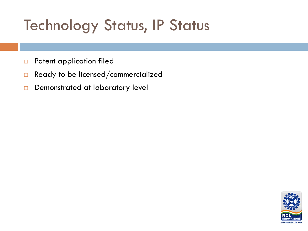## Technology Status, IP Status

- **D** Patent application filed
- $\Box$  Ready to be licensed/commercialized
- Demonstrated at laboratory level

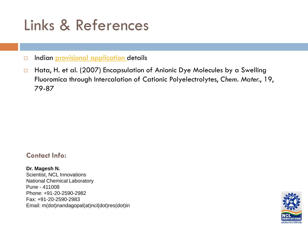### Links & References

Indian **provisional application** details

□ Hata, H. et al. (2007) Encapsulation of Anionic Dye Molecules by a Swelling Fluoromica through Intercalation of Cationic Polyelectrolytes, *Chem. Mater.*, 19, 79-87

#### **Contact Info:**

**Dr. Magesh N.**  Scientist, NCL Innovations National Chemical Laboratory Pune - 411008 Phone: +91-20-2590-2982 Fax: +91-20-2590-2983 Email: m(dot)nandagopal(at)ncl(dot)res(dot)in